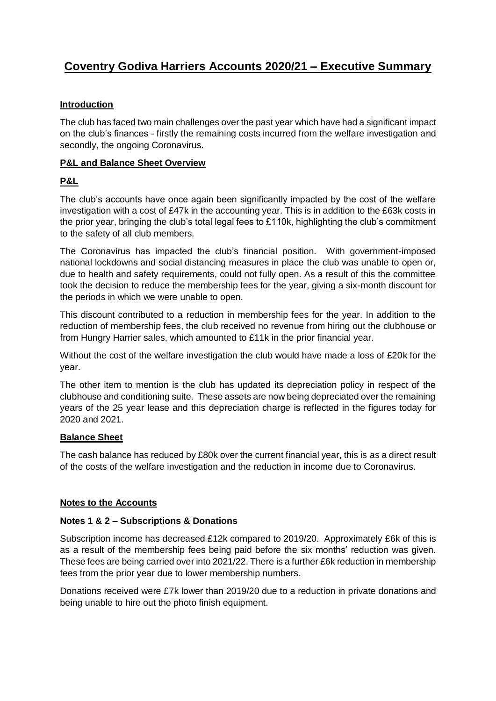# **Coventry Godiva Harriers Accounts 2020/21 – Executive Summary**

# **Introduction**

The club has faced two main challenges over the past year which have had a significant impact on the club's finances - firstly the remaining costs incurred from the welfare investigation and secondly, the ongoing Coronavirus.

# **P&L and Balance Sheet Overview**

# **P&L**

The club's accounts have once again been significantly impacted by the cost of the welfare investigation with a cost of £47k in the accounting year. This is in addition to the £63k costs in the prior year, bringing the club's total legal fees to £110k, highlighting the club's commitment to the safety of all club members.

The Coronavirus has impacted the club's financial position. With government-imposed national lockdowns and social distancing measures in place the club was unable to open or, due to health and safety requirements, could not fully open. As a result of this the committee took the decision to reduce the membership fees for the year, giving a six-month discount for the periods in which we were unable to open.

This discount contributed to a reduction in membership fees for the year. In addition to the reduction of membership fees, the club received no revenue from hiring out the clubhouse or from Hungry Harrier sales, which amounted to £11k in the prior financial year.

Without the cost of the welfare investigation the club would have made a loss of £20k for the year.

The other item to mention is the club has updated its depreciation policy in respect of the clubhouse and conditioning suite. These assets are now being depreciated over the remaining years of the 25 year lease and this depreciation charge is reflected in the figures today for 2020 and 2021.

# **Balance Sheet**

The cash balance has reduced by £80k over the current financial year, this is as a direct result of the costs of the welfare investigation and the reduction in income due to Coronavirus.

# **Notes to the Accounts**

# **Notes 1 & 2 – Subscriptions & Donations**

Subscription income has decreased £12k compared to 2019/20. Approximately £6k of this is as a result of the membership fees being paid before the six months' reduction was given. These fees are being carried over into 2021/22. There is a further £6k reduction in membership fees from the prior year due to lower membership numbers.

Donations received were £7k lower than 2019/20 due to a reduction in private donations and being unable to hire out the photo finish equipment.